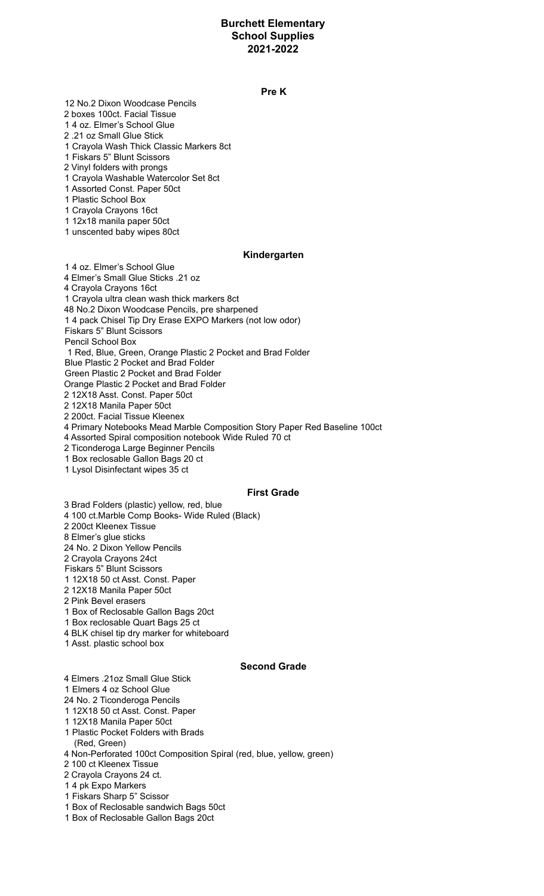# **Burchett Elementary School Supplies 2021-2022**

#### **Pre K**

 No.2 Dixon Woodcase Pencils boxes 100ct. Facial Tissue 4 oz. Elmer's School Glue .21 oz Small Glue Stick

Crayola Wash Thick Classic Markers 8ct

Fiskars 5" Blunt Scissors

Vinyl folders with prongs

Crayola Washable Watercolor Set 8ct

Assorted Const. Paper 50ct

Plastic School Box

Crayola Crayons 16ct

12x18 manila paper 50ct

unscented baby wipes 80ct

#### **Kindergarten**

 4 oz. Elmer's School Glue Elmer's Small Glue Sticks .21 oz Crayola Crayons 16ct Crayola ultra clean wash thick markers 8ct No.2 Dixon Woodcase Pencils, pre sharpened 4 pack Chisel Tip Dry Erase EXPO Markers (not low odor) Fiskars 5" Blunt Scissors Pencil School Box Red, Blue, Green, Orange Plastic 2 Pocket and Brad Folder Blue Plastic 2 Pocket and Brad Folder Green Plastic 2 Pocket and Brad Folder Orange Plastic 2 Pocket and Brad Folder 12X18 Asst. Const. Paper 50ct 12X18 Manila Paper 50ct 200ct. Facial Tissue Kleenex Primary Notebooks Mead Marble Composition Story Paper Red Baseline 100ct Assorted Spiral composition notebook Wide Ruled 70 ct Ticonderoga Large Beginner Pencils

Box reclosable Gallon Bags 20 ct

Lysol Disinfectant wipes 35 ct

#### **First Grade**

 Brad Folders (plastic) yellow, red, blue 100 ct.Marble Comp Books- Wide Ruled (Black)

200ct Kleenex Tissue

Elmer's glue sticks

No. 2 Dixon Yellow Pencils

Crayola Crayons 24ct

Fiskars 5" Blunt Scissors

12X18 50 ct Asst. Const. Paper

12X18 Manila Paper 50ct

Pink Bevel erasers

Box of Reclosable Gallon Bags 20ct

Box reclosable Quart Bags 25 ct

BLK chisel tip dry marker for whiteboard

Asst. plastic school box

## **Second Grade**

Elmers .21oz Small Glue Stick

Elmers 4 oz School Glue

No. 2 Ticonderoga Pencils

12X18 50 ct Asst. Const. Paper

12X18 Manila Paper 50ct

- Plastic Pocket Folders with Brads (Red, Green)
- Non-Perforated 100ct Composition Spiral (red, blue, yellow, green)

100 ct Kleenex Tissue

Crayola Crayons 24 ct.

4 pk Expo Markers

Fiskars Sharp 5" Scissor

Box of Reclosable sandwich Bags 50ct

Box of Reclosable Gallon Bags 20ct